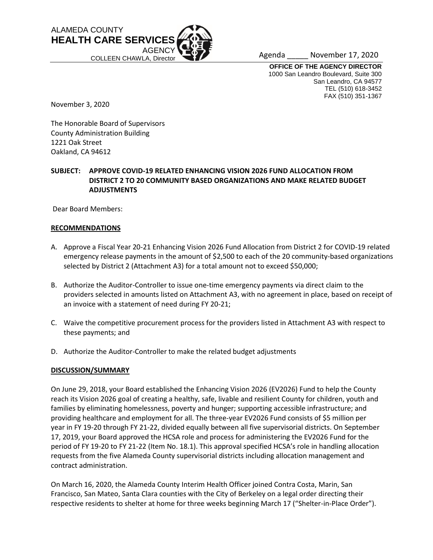

Agenda \_\_\_\_\_ November 17, 2020

**OFFICE OF THE AGENCY DIRECTOR** 1000 San Leandro Boulevard, Suite 300 San Leandro, CA 94577 TEL (510) 618-3452 FAX (510) 351-1367

November 3, 2020

The Honorable Board of Supervisors County Administration Building 1221 Oak Street Oakland, CA 94612

## **SUBJECT: APPROVE COVID-19 RELATED ENHANCING VISION 2026 FUND ALLOCATION FROM DISTRICT 2 TO 20 COMMUNITY BASED ORGANIZATIONS AND MAKE RELATED BUDGET ADJUSTMENTS**

Dear Board Members:

#### **RECOMMENDATIONS**

- A. Approve a Fiscal Year 20-21 Enhancing Vision 2026 Fund Allocation from District 2 for COVID-19 related emergency release payments in the amount of \$2,500 to each of the 20 community-based organizations selected by District 2 (Attachment A3) for a total amount not to exceed \$50,000;
- B. Authorize the Auditor-Controller to issue one-time emergency payments via direct claim to the providers selected in amounts listed on Attachment A3, with no agreement in place, based on receipt of an invoice with a statement of need during FY 20-21;
- C. Waive the competitive procurement process for the providers listed in Attachment A3 with respect to these payments; and
- D. Authorize the Auditor-Controller to make the related budget adjustments

## **DISCUSSION/SUMMARY**

On June 29, 2018, your Board established the Enhancing Vision 2026 (EV2026) Fund to help the County reach its Vision 2026 goal of creating a healthy, safe, livable and resilient County for children, youth and families by eliminating homelessness, poverty and hunger; supporting accessible infrastructure; and providing healthcare and employment for all. The three-year EV2026 Fund consists of \$5 million per year in FY 19-20 through FY 21-22, divided equally between all five supervisorial districts. On September 17, 2019, your Board approved the HCSA role and process for administering the EV2026 Fund for the period of FY 19-20 to FY 21-22 (Item No. 18.1). This approval specified HCSA's role in handling allocation requests from the five Alameda County supervisorial districts including allocation management and contract administration.

On March 16, 2020, the Alameda County Interim Health Officer joined Contra Costa, Marin, San Francisco, San Mateo, Santa Clara counties with the City of Berkeley on a legal order directing their respective residents to shelter at home for three weeks beginning March 17 ("Shelter-in-Place Order").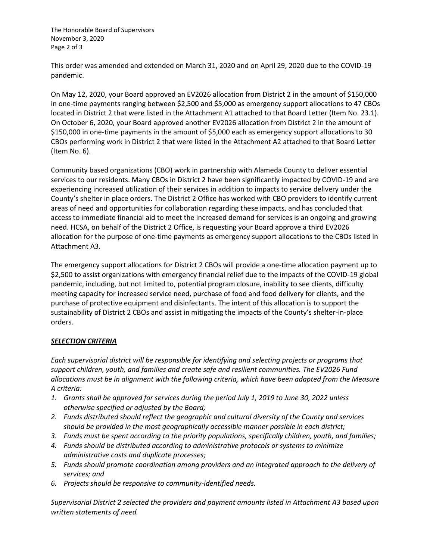The Honorable Board of Supervisors November 3, 2020 Page 2 of 3

This order was amended and extended on March 31, 2020 and on April 29, 2020 due to the COVID-19 pandemic.

On May 12, 2020, your Board approved an EV2026 allocation from District 2 in the amount of \$150,000 in one-time payments ranging between \$2,500 and \$5,000 as emergency support allocations to 47 CBOs located in District 2 that were listed in the Attachment A1 attached to that Board Letter (Item No. 23.1). On October 6, 2020, your Board approved another EV2026 allocation from District 2 in the amount of \$150,000 in one-time payments in the amount of \$5,000 each as emergency support allocations to 30 CBOs performing work in District 2 that were listed in the Attachment A2 attached to that Board Letter (Item No. 6).

Community based organizations (CBO) work in partnership with Alameda County to deliver essential services to our residents. Many CBOs in District 2 have been significantly impacted by COVID-19 and are experiencing increased utilization of their services in addition to impacts to service delivery under the County's shelter in place orders. The District 2 Office has worked with CBO providers to identify current areas of need and opportunities for collaboration regarding these impacts, and has concluded that access to immediate financial aid to meet the increased demand for services is an ongoing and growing need. HCSA, on behalf of the District 2 Office, is requesting your Board approve a third EV2026 allocation for the purpose of one-time payments as emergency support allocations to the CBOs listed in Attachment A3.

The emergency support allocations for District 2 CBOs will provide a one-time allocation payment up to \$2,500 to assist organizations with emergency financial relief due to the impacts of the COVID-19 global pandemic, including, but not limited to, potential program closure, inability to see clients, difficulty meeting capacity for increased service need, purchase of food and food delivery for clients, and the purchase of protective equipment and disinfectants. The intent of this allocation is to support the sustainability of District 2 CBOs and assist in mitigating the impacts of the County's shelter-in-place orders.

## *SELECTION CRITERIA*

*Each supervisorial district will be responsible for identifying and selecting projects or programs that support children, youth, and families and create safe and resilient communities. The EV2026 Fund allocations must be in alignment with the following criteria, which have been adapted from the Measure A criteria:*

- *1. Grants shall be approved for services during the period July 1, 2019 to June 30, 2022 unless otherwise specified or adjusted by the Board;*
- *2. Funds distributed should reflect the geographic and cultural diversity of the County and services should be provided in the most geographically accessible manner possible in each district;*
- *3. Funds must be spent according to the priority populations, specifically children, youth, and families;*
- *4. Funds should be distributed according to administrative protocols or systems to minimize administrative costs and duplicate processes;*
- *5. Funds should promote coordination among providers and an integrated approach to the delivery of services; and*
- *6. Projects should be responsive to community-identified needs.*

*Supervisorial District 2 selected the providers and payment amounts listed in Attachment A3 based upon written statements of need.*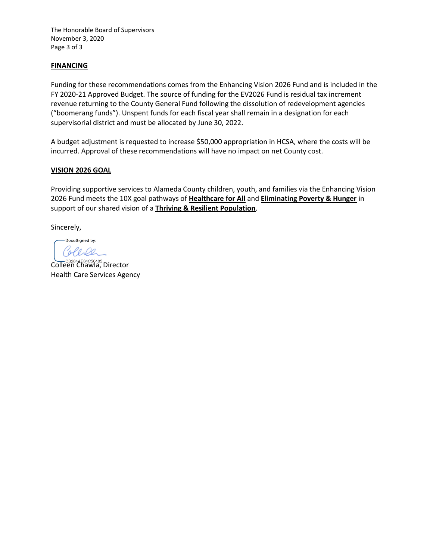The Honorable Board of Supervisors November 3, 2020 Page 3 of 3

## **FINANCING**

Funding for these recommendations comes from the Enhancing Vision 2026 Fund and is included in the FY 2020-21 Approved Budget. The source of funding for the EV2026 Fund is residual tax increment revenue returning to the County General Fund following the dissolution of redevelopment agencies ("boomerang funds"). Unspent funds for each fiscal year shall remain in a designation for each supervisorial district and must be allocated by June 30, 2022.

A budget adjustment is requested to increase \$50,000 appropriation in HCSA, where the costs will be incurred. Approval of these recommendations will have no impact on net County cost.

## **VISION 2026 GOAL**

Providing supportive services to Alameda County children, youth, and families via the Enhancing Vision 2026 Fund meets the 10X goal pathways of **Healthcare for All** and **Eliminating Poverty & Hunger** in support of our shared vision of a **Thriving & Resilient Population**.

Sincerely,

DocuSigned by: PODO

CB284AE84C50405.<br>Colleen Chawla, Director Health Care Services Agency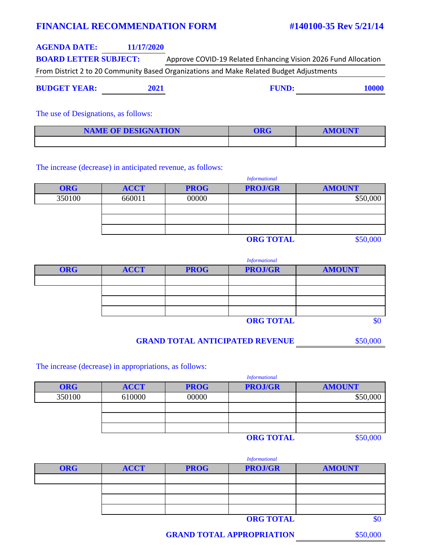## **FINANCIAL RECOMMENDATION FORM #140100-35 Rev 5/21/14**

| <b>AGENDA DATE:</b>          | 11/17/2020 |                                                                                         |
|------------------------------|------------|-----------------------------------------------------------------------------------------|
| <b>BOARD LETTER SUBJECT:</b> |            | Approve COVID-19 Related Enhancing Vision 2026 Fund Allocation                          |
|                              |            | From District 2 to 20 Community Based Organizations and Make Related Budget Adjustments |

**BUDGET YEAR: 2021 FUND: 10000** 

The use of Designations, as follows:

| <b>NAME OF DESIGNATION</b> | <b>DRG</b> | <b>AMOUNT</b> |
|----------------------------|------------|---------------|
|                            |            |               |

The increase (decrease) in anticipated revenue, as follows:

|            | <b>Informational</b> |             |                  |               |  |  |
|------------|----------------------|-------------|------------------|---------------|--|--|
| <b>ORG</b> | <b>ACCT</b>          | <b>PROG</b> | <b>PROJ/GR</b>   | <b>AMOUNT</b> |  |  |
| 350100     | 660011               | 00000       |                  | \$50,000      |  |  |
|            |                      |             |                  |               |  |  |
|            |                      |             |                  |               |  |  |
|            |                      |             |                  |               |  |  |
|            |                      |             | <b>ODC TOTAL</b> | 850,000       |  |  |

**ORG TOTAL** \$50,000

*Informational*

|            | .           |             |                |               |  |
|------------|-------------|-------------|----------------|---------------|--|
| <b>ORG</b> | <b>ACCT</b> | <b>PROG</b> | <b>PROJ/GR</b> | <b>AMOUNT</b> |  |
|            |             |             |                |               |  |
|            |             |             |                |               |  |
|            |             |             |                |               |  |
|            |             |             |                |               |  |
|            |             |             | ADA BOMI       | $\triangle$   |  |

**ORG TOTAL** \$0

**GRAND TOTAL ANTICIPATED REVENUE** \$50,000

The increase (decrease) in appropriations, as follows:

|            | <b>Informational</b> |             |                |               |  |
|------------|----------------------|-------------|----------------|---------------|--|
| <b>ORG</b> | <b>ACCT</b>          | <b>PROG</b> | <b>PROJ/GR</b> | <b>AMOUNT</b> |  |
| 350100     | 610000               | 00000       |                | \$50,000      |  |
|            |                      |             |                |               |  |
|            |                      |             |                |               |  |
|            |                      |             |                |               |  |
|            |                      |             | ADOMMATIT      | $A = 0.000$   |  |

**ORG TOTAL** \$50,000

|            | <b>Informational</b> |             |                |               |  |
|------------|----------------------|-------------|----------------|---------------|--|
| <b>ORG</b> | <b>ACCT</b>          | <b>PROG</b> | <b>PROJ/GR</b> | <b>AMOUNT</b> |  |
|            |                      |             |                |               |  |
|            |                      |             |                |               |  |
|            |                      |             |                |               |  |
|            |                      |             |                |               |  |
|            |                      |             | OMOMIN         | AD            |  |

**ORG TOTAL** \$0

**GRAND TOTAL APPROPRIATION** \$50,000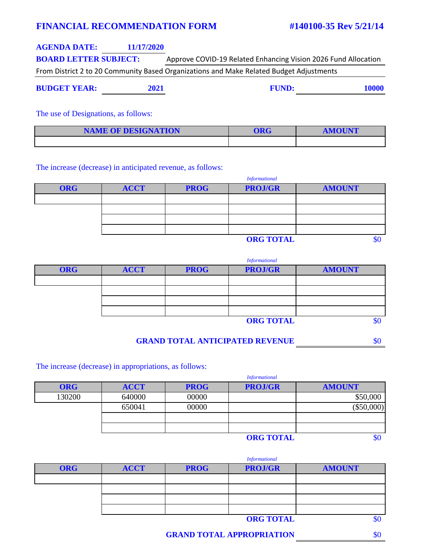# **FINANCIAL RECOMMENDATION FORM #140100-35 Rev 5/21/14**

| <b>AGENDA DATE:</b>          | 11/17/2020 |                                                                                         |
|------------------------------|------------|-----------------------------------------------------------------------------------------|
| <b>BOARD LETTER SUBJECT:</b> |            | Approve COVID-19 Related Enhancing Vision 2026 Fund Allocation                          |
|                              |            | From District 2 to 20 Community Based Organizations and Make Related Budget Adjustments |

**BUDGET YEAR: 2021 FUND: 10000** 

The use of Designations, as follows:

| <b>NAME OF DESIGNATION</b> | <b>DRG</b> | <b>AMOUNT</b> |
|----------------------------|------------|---------------|
|                            |            |               |

The increase (decrease) in anticipated revenue, as follows:

|            | <b>Informational</b> |             |                |               |  |
|------------|----------------------|-------------|----------------|---------------|--|
| <b>ORG</b> | <b>ACCT</b>          | <b>PROG</b> | <b>PROJ/GR</b> | <b>AMOUNT</b> |  |
|            |                      |             |                |               |  |
|            |                      |             |                |               |  |
|            |                      |             |                |               |  |
|            |                      |             |                |               |  |
|            | <b>ORG TOTAL</b>     |             |                |               |  |

|            | <b>Informational</b> |             |                  |               |  |  |
|------------|----------------------|-------------|------------------|---------------|--|--|
| <b>ORG</b> | <b>ACCT</b>          | <b>PROG</b> | <b>PROJ/GR</b>   | <b>AMOUNT</b> |  |  |
|            |                      |             |                  |               |  |  |
|            |                      |             |                  |               |  |  |
|            |                      |             |                  |               |  |  |
|            |                      |             |                  |               |  |  |
|            |                      |             | <b>ORG TOTAL</b> |               |  |  |

**GRAND TOTAL ANTICIPATED REVENUE** \$0

The increase (decrease) in appropriations, as follows:

|            | <b>Informational</b> |             |                |               |
|------------|----------------------|-------------|----------------|---------------|
| <b>ORG</b> | <b>ACCT</b>          | <b>PROG</b> | <b>PROJ/GR</b> | <b>AMOUNT</b> |
| 130200     | 640000               | 00000       |                | \$50,000      |
|            | 650041               | 00000       |                | $(\$50,000)$  |
|            |                      |             |                |               |
|            |                      |             |                |               |
|            |                      |             | OMOM           | $\Delta$      |

**ORG TOTAL** \$0

|            | <b>Informational</b> |             |                  |               |  |
|------------|----------------------|-------------|------------------|---------------|--|
| <b>ORG</b> | <b>ACCT</b>          | <b>PROG</b> | <b>PROJ/GR</b>   | <b>AMOUNT</b> |  |
|            |                      |             |                  |               |  |
|            |                      |             |                  |               |  |
|            |                      |             |                  |               |  |
|            |                      |             |                  |               |  |
|            |                      |             | <b>ORG TOTAL</b> |               |  |

**GRAND TOTAL APPROPRIATION** \$0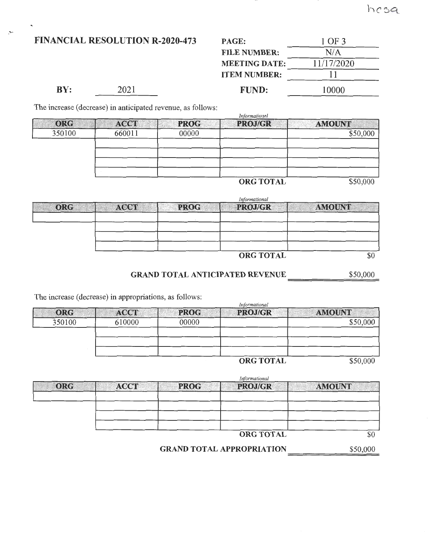FINANCIAL RESOLUTION R-2020-473

-..

|     | <b>NCIAL RESOLUTION R-2020-473</b> | PAGE:                | 1 OF 3     |
|-----|------------------------------------|----------------------|------------|
|     |                                    | <b>FILE NUMBER:</b>  | N/A        |
|     |                                    | <b>MEETING DATE:</b> | 11/17/2020 |
|     |                                    | <b>ITEM NUMBER:</b>  |            |
| BY: | 2021                               | <b>FUND:</b>         | 10000      |

The increase (decrease) in anticipated revenue, as follows:

|            |             |             | Intormational    |               |
|------------|-------------|-------------|------------------|---------------|
| <b>ORG</b> | <b>ACCT</b> | <b>PROG</b> | PROJ/GR          | <b>AMOUNT</b> |
| 350100     | 660011      | 00000       |                  | \$50,000      |
|            |             |             |                  |               |
|            |             |             |                  |               |
|            |             |             |                  |               |
|            |             |             |                  |               |
|            |             |             | <b>ORG TOTAL</b> | \$50,000      |

*Informational* 

|            | Informational |             |                  |               |  |
|------------|---------------|-------------|------------------|---------------|--|
| <b>ORG</b> | <b>ACCT</b>   | <b>PROG</b> | <b>PROJ/GR</b>   | <b>AMOUNT</b> |  |
|            |               |             |                  |               |  |
|            |               |             |                  |               |  |
|            |               |             |                  |               |  |
|            |               |             |                  |               |  |
|            |               |             | <b>ORG TOTAL</b> | \$0           |  |

GRAND TOTAL ANTICIPATED REVENUE \$50,000 ==================

The increase (decrease) in appropriations, as follows:

|            | $\frac{1}{2}$ and $\frac{1}{2}$ and $\frac{1}{2}$ and $\frac{1}{2}$ are supplied to the set of $\frac{1}{2}$<br>Informational |             |                  |               |
|------------|-------------------------------------------------------------------------------------------------------------------------------|-------------|------------------|---------------|
| <b>ORG</b> | <b>ACCT</b>                                                                                                                   | <b>PROG</b> | <b>PROJ/GR</b>   | <b>AMOUNT</b> |
| 350100     | 610000                                                                                                                        | 00000       |                  | \$50,000      |
|            |                                                                                                                               |             |                  |               |
|            |                                                                                                                               |             |                  |               |
|            |                                                                                                                               |             | <b>ORG TOTAL</b> | \$50,000      |

*Informational* 

|     | <i>Informational</i> |             |                  |               |
|-----|----------------------|-------------|------------------|---------------|
| ORG | <b>ACCT</b>          | <b>PROG</b> | PROJ/GR          | <b>AMOUNT</b> |
|     |                      |             |                  |               |
|     |                      |             |                  |               |
|     |                      |             |                  |               |
|     |                      |             |                  |               |
|     |                      |             | <b>ORG TOTAL</b> |               |

ORGTOTAL

\$50,000

**GRAND TOTAL APPROPRIATION**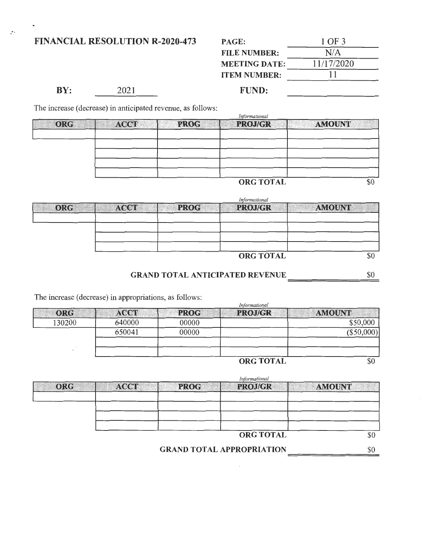## FINANCIAL RESOLUTION R-2020-473

| 1 OF 3     |  |
|------------|--|
| N/A        |  |
| 11/17/2020 |  |
| 11         |  |
|            |  |

**BY:** 2021 **FUND:** 

The increase (decrease) in anticipated revenue, as follows:

|     | Informational |             |                  |               |  |
|-----|---------------|-------------|------------------|---------------|--|
| ORG | <b>ACCT</b>   | <b>PROG</b> | <b>PROJ/GR</b>   | <b>AMOUNT</b> |  |
|     |               |             |                  |               |  |
|     |               |             |                  |               |  |
|     |               |             |                  |               |  |
|     |               |             |                  |               |  |
|     |               |             |                  |               |  |
|     |               |             | <b>ORG TOTAL</b> |               |  |

|            | Informational |             |                  |               |  |
|------------|---------------|-------------|------------------|---------------|--|
| <b>ORG</b> | <b>ACCT</b>   | <b>PROG</b> | <b>PROJ/GR</b>   | <b>AMOUNT</b> |  |
|            |               |             |                  |               |  |
|            |               |             |                  |               |  |
|            |               |             |                  |               |  |
|            |               |             |                  |               |  |
|            |               |             | <b>ORG TOTAL</b> |               |  |

GRAND TOTAL ANTICIPATED REVENUE 50

The increase (decrease) in appropriations, as follows:

|            | Informational |             |                  |               |
|------------|---------------|-------------|------------------|---------------|
| <b>ORG</b> | <b>ACCT</b>   | <b>PROG</b> | <b>PROJ/GR</b>   | <b>AMOUNT</b> |
| 130200     | 640000        | 00000       |                  | \$50,000      |
|            | 650041        | 00000       |                  | (\$50,000)    |
|            |               |             |                  |               |
|            |               |             | <b>ORG TOTAL</b> |               |

*Informational*  ORG | ACCT | PROG PROJ/GR | AMOUNT

ORG TOTAL

\$0

\$0

GRAND TOTAL APPROPRIATION

I  $\overline{\phantom{a}}$ 

> I  $\overline{\phantom{a}}$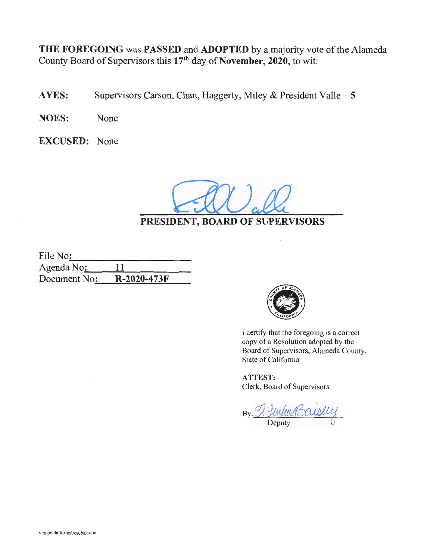THE FOREGOING was PASSED and ADOPTED by a majority vote of the Alameda County Board of Supervisors this 17<sup>th</sup> day of November, 2020, to wit:

- AYES: Supervisors Carson, Chan, Haggerty, Miley & President Valle 5
- NOES: None
- EXCUSED: None

PRESIDENT, BOARD OF SUPERVISORS

| File No:     |             |  |
|--------------|-------------|--|
| Agenda No:   | 11          |  |
| Document No: | R-2020-473F |  |
|              |             |  |



I certify that the foregoing is a correct copy of a Resolution adopted by the Board of Supervisors, Alameda County, State of California

ATTEST: Clerk, Board of Supervisors

By: <u>Ny Unha Bauslu</u>